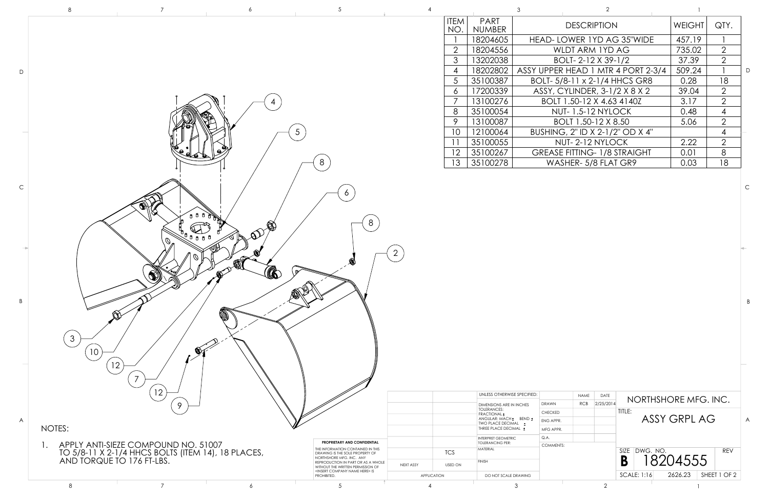|                | 8                                                                                                                      |                | 5                                                                                                                                                      |                |                    |                                                                               |                          |                                     |                                    |              |                |
|----------------|------------------------------------------------------------------------------------------------------------------------|----------------|--------------------------------------------------------------------------------------------------------------------------------------------------------|----------------|--------------------|-------------------------------------------------------------------------------|--------------------------|-------------------------------------|------------------------------------|--------------|----------------|
|                |                                                                                                                        |                |                                                                                                                                                        |                | <b>ITEM</b><br>NO. | PART<br>NUMBER                                                                |                          | <b>DESCRIPTION</b>                  |                                    | WEIGHT       | QTY.           |
|                |                                                                                                                        |                |                                                                                                                                                        |                |                    | 18204605                                                                      |                          | HEAD-LOWER 1YD AG 35"WIDE           |                                    | 457.19       |                |
|                |                                                                                                                        |                |                                                                                                                                                        |                | 2                  | 18204556                                                                      |                          | WLDT ARM 1YD AG                     |                                    | 735.02       | 2              |
|                |                                                                                                                        |                |                                                                                                                                                        |                | $\mathcal{S}$      | 13202038                                                                      |                          | BOLT-2-12 X 39-1/2                  |                                    | 37.39        | $\overline{2}$ |
|                |                                                                                                                        |                |                                                                                                                                                        |                | $\overline{4}$     | 18202802                                                                      |                          |                                     | ASSY UPPER HEAD 1 MTR 4 PORT 2-3/4 | 509.24       |                |
|                |                                                                                                                        |                |                                                                                                                                                        |                | 5 <sup>5</sup>     | 35100387                                                                      |                          | BOLT-5/8-11 x 2-1/4 HHCS GR8        |                                    | 0.28         | 18             |
|                |                                                                                                                        |                |                                                                                                                                                        |                | 6 <sup>1</sup>     | 17200339                                                                      |                          | ASSY, CYLINDER, 3-1/2 X 8 X 2       |                                    | 39.04        | $\overline{2}$ |
|                |                                                                                                                        |                |                                                                                                                                                        |                |                    | 13100276                                                                      |                          | BOLT 1.50-12 X 4.63 4140Z           |                                    | 3.17         | $\overline{2}$ |
|                |                                                                                                                        |                |                                                                                                                                                        |                | 8                  | 35100054                                                                      |                          | <b>NUT-1.5-12 NYLOCK</b>            |                                    | 0.48         | $\overline{4}$ |
|                |                                                                                                                        |                |                                                                                                                                                        |                | 9                  | 13100087                                                                      |                          | BOLT 1.50-12 X 8.50                 |                                    | 5.06         | $\overline{2}$ |
|                |                                                                                                                        |                | 5                                                                                                                                                      |                | 10                 | 12100064                                                                      |                          | BUSHING, 2" ID X 2-1/2" OD X 4"     |                                    |              | $\overline{4}$ |
|                |                                                                                                                        |                |                                                                                                                                                        |                |                    | 35100055                                                                      |                          | NUT-2-12 NYLOCK                     |                                    | 2.22         | 2              |
|                |                                                                                                                        |                |                                                                                                                                                        |                | 12                 | 35100267                                                                      |                          | <b>GREASE FITTING- 1/8 STRAIGHT</b> |                                    | 0.01         | $8\phantom{1}$ |
|                | A                                                                                                                      |                | 8                                                                                                                                                      |                | 13                 | 35100278                                                                      |                          | WASHER- 5/8 FLAT GR9                |                                    | 0.03         | 18             |
|                |                                                                                                                        |                |                                                                                                                                                        |                |                    |                                                                               |                          |                                     |                                    |              |                |
|                | $\mathfrak{Z}$<br>10                                                                                                   | 6<br>(U)<br>ÕЯ |                                                                                                                                                        | $\overline{2}$ |                    |                                                                               |                          |                                     |                                    |              |                |
|                | 12<br>7                                                                                                                |                |                                                                                                                                                        |                |                    | UNLESS OTHERWISE SPECIFIED:<br>DIMENSIONS ARE IN INCHES<br><b>TOLERANCES:</b> | DRAWN<br><b>CHECKED</b>  | NAME<br>DATE<br>RCB 2/25/2014       | NORTHSHORE MFG. INC.<br>TITLE:     |              |                |
|                | 12<br>9                                                                                                                |                |                                                                                                                                                        |                |                    | <b>FRACTIONAL</b> <sup>1</sup>                                                |                          |                                     |                                    |              |                |
|                |                                                                                                                        |                |                                                                                                                                                        |                |                    | ANGULAR: MACH ± BEND ±<br>TWO PLACE DECIMAL ±                                 | ENG APPR.                |                                     |                                    | ASSY GRPL AG |                |
|                | NOTES:                                                                                                                 |                |                                                                                                                                                        |                |                    | THREE PLACE DECIMAL ±                                                         | MFG APPR.                |                                     |                                    |              |                |
| $\mathbf{L}$ . |                                                                                                                        |                | PROPRIETARY AND CONFIDENTIAL                                                                                                                           |                |                    | INTERPRET GEOMETRIC<br><b>TOLERANCING PER:</b>                                | Q.A.<br><b>COMMENTS:</b> |                                     |                                    |              |                |
|                |                                                                                                                        |                | THE INFORMATION CONTAINED IN THIS<br>DRAWING IS THE SOLE PROPERTY OF                                                                                   |                | <b>TCS</b>         | MATERIAL                                                                      |                          |                                     | SIZE DWG. NO.                      |              | REV            |
|                | APPLY ANTI-SIEZE COMPOUND NO. 51007<br>TO 5/8-11 X 2-1/4 HHCS BOLTS (ITEM 14), 18 PLACES,<br>AND TORQUE TO 176 FT-LBS. |                | NORTHSHORE MFG. INC. ANY<br>REPRODUCTION IN PART OR AS A WHOLE<br>WITHOUT THE WRITTEN PERMISSION OF<br><insert company="" here="" name=""> IS</insert> | NEXT ASSY      | <b>USED ON</b>     | <b>FINISH</b>                                                                 |                          |                                     | B                                  | 18204555     |                |